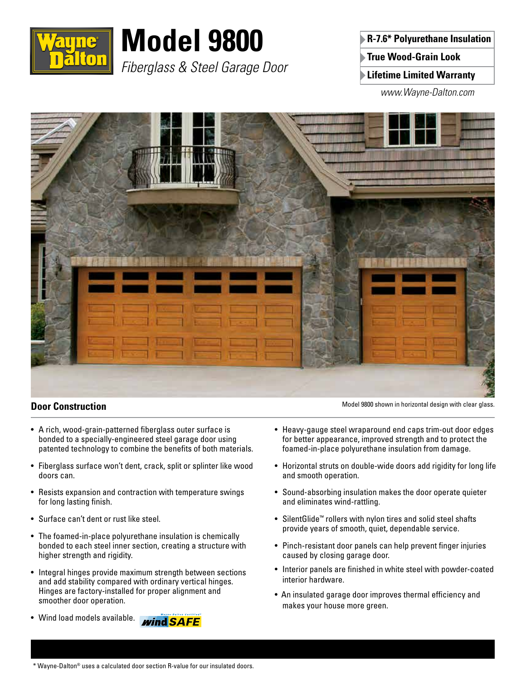

# **Model 9800**

*Fiberglass & Steel Garage Door*

**R-7.6\* Polyurethane Insulation True Wood-Grain Look**

**Lifetime Limited Warranty**

*www.Wayne-Dalton.com*



## **Door Construction**

- A rich, wood-grain-patterned fiberglass outer surface is bonded to a specially-engineered steel garage door using patented technology to combine the benefits of both materials.
- Fiberglass surface won't dent, crack, split or splinter like wood doors can.
- Resists expansion and contraction with temperature swings for long lasting finish.
- Surface can't dent or rust like steel.
- The foamed-in-place polyurethane insulation is chemically bonded to each steel inner section, creating a structure with higher strength and rigidity.
- Integral hinges provide maximum strength between sections and add stability compared with ordinary vertical hinges. Hinges are factory-installed for proper alignment and smoother door operation.
- Wind load models available. **wind SAFE**



Model 9800 shown in horizontal design with clear glass.

• Horizontal struts on double-wide doors add rigidity for long life and smooth operation.

foamed-in-place polyurethane insulation from damage.

- Sound-absorbing insulation makes the door operate quieter and eliminates wind-rattling.
- SilentGlide™ rollers with nylon tires and solid steel shafts provide years of smooth, quiet, dependable service.
- Pinch-resistant door panels can help prevent finger injuries caused by closing garage door.
- Interior panels are finished in white steel with powder-coated interior hardware.
- An insulated garage door improves thermal efficiency and makes your house more green.